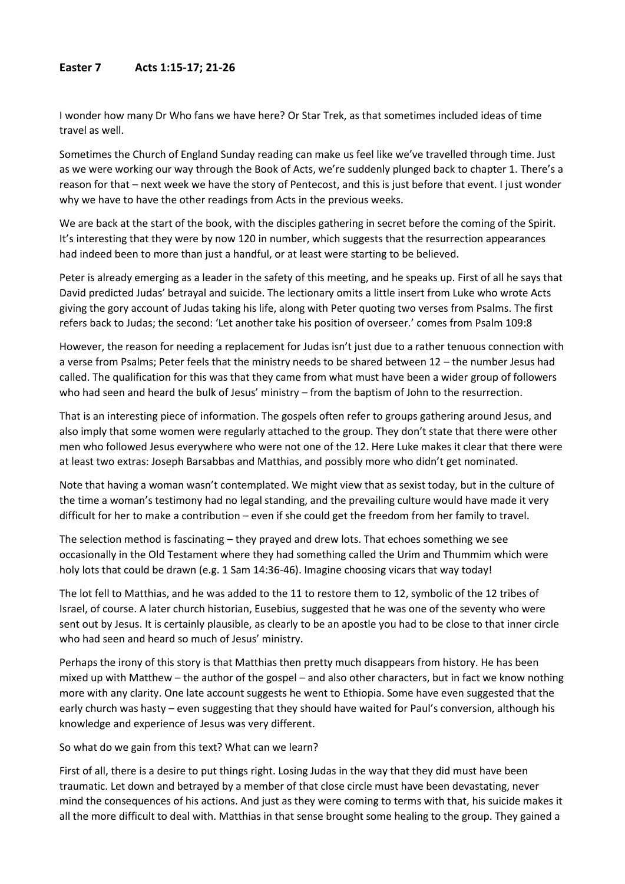## **Easter 7 Acts 1:15-17; 21-26**

I wonder how many Dr Who fans we have here? Or Star Trek, as that sometimes included ideas of time travel as well.

Sometimes the Church of England Sunday reading can make us feel like we've travelled through time. Just as we were working our way through the Book of Acts, we're suddenly plunged back to chapter 1. There's a reason for that – next week we have the story of Pentecost, and this is just before that event. I just wonder why we have to have the other readings from Acts in the previous weeks.

We are back at the start of the book, with the disciples gathering in secret before the coming of the Spirit. It's interesting that they were by now 120 in number, which suggests that the resurrection appearances had indeed been to more than just a handful, or at least were starting to be believed.

Peter is already emerging as a leader in the safety of this meeting, and he speaks up. First of all he says that David predicted Judas' betrayal and suicide. The lectionary omits a little insert from Luke who wrote Acts giving the gory account of Judas taking his life, along with Peter quoting two verses from Psalms. The first refers back to Judas; the second: 'Let another take his position of overseer.' comes from Psalm 109:8

However, the reason for needing a replacement for Judas isn't just due to a rather tenuous connection with a verse from Psalms; Peter feels that the ministry needs to be shared between 12 – the number Jesus had called. The qualification for this was that they came from what must have been a wider group of followers who had seen and heard the bulk of Jesus' ministry – from the baptism of John to the resurrection.

That is an interesting piece of information. The gospels often refer to groups gathering around Jesus, and also imply that some women were regularly attached to the group. They don't state that there were other men who followed Jesus everywhere who were not one of the 12. Here Luke makes it clear that there were at least two extras: Joseph Barsabbas and Matthias, and possibly more who didn't get nominated.

Note that having a woman wasn't contemplated. We might view that as sexist today, but in the culture of the time a woman's testimony had no legal standing, and the prevailing culture would have made it very difficult for her to make a contribution – even if she could get the freedom from her family to travel.

The selection method is fascinating – they prayed and drew lots. That echoes something we see occasionally in the Old Testament where they had something called the Urim and Thummim which were holy lots that could be drawn (e.g. 1 Sam 14:36-46). Imagine choosing vicars that way today!

The lot fell to Matthias, and he was added to the 11 to restore them to 12, symbolic of the 12 tribes of Israel, of course. A later church historian, Eusebius, suggested that he was one of the seventy who were sent out by Jesus. It is certainly plausible, as clearly to be an apostle you had to be close to that inner circle who had seen and heard so much of Jesus' ministry.

Perhaps the irony of this story is that Matthias then pretty much disappears from history. He has been mixed up with Matthew – the author of the gospel – and also other characters, but in fact we know nothing more with any clarity. One late account suggests he went to Ethiopia. Some have even suggested that the early church was hasty – even suggesting that they should have waited for Paul's conversion, although his knowledge and experience of Jesus was very different.

So what do we gain from this text? What can we learn?

First of all, there is a desire to put things right. Losing Judas in the way that they did must have been traumatic. Let down and betrayed by a member of that close circle must have been devastating, never mind the consequences of his actions. And just as they were coming to terms with that, his suicide makes it all the more difficult to deal with. Matthias in that sense brought some healing to the group. They gained a